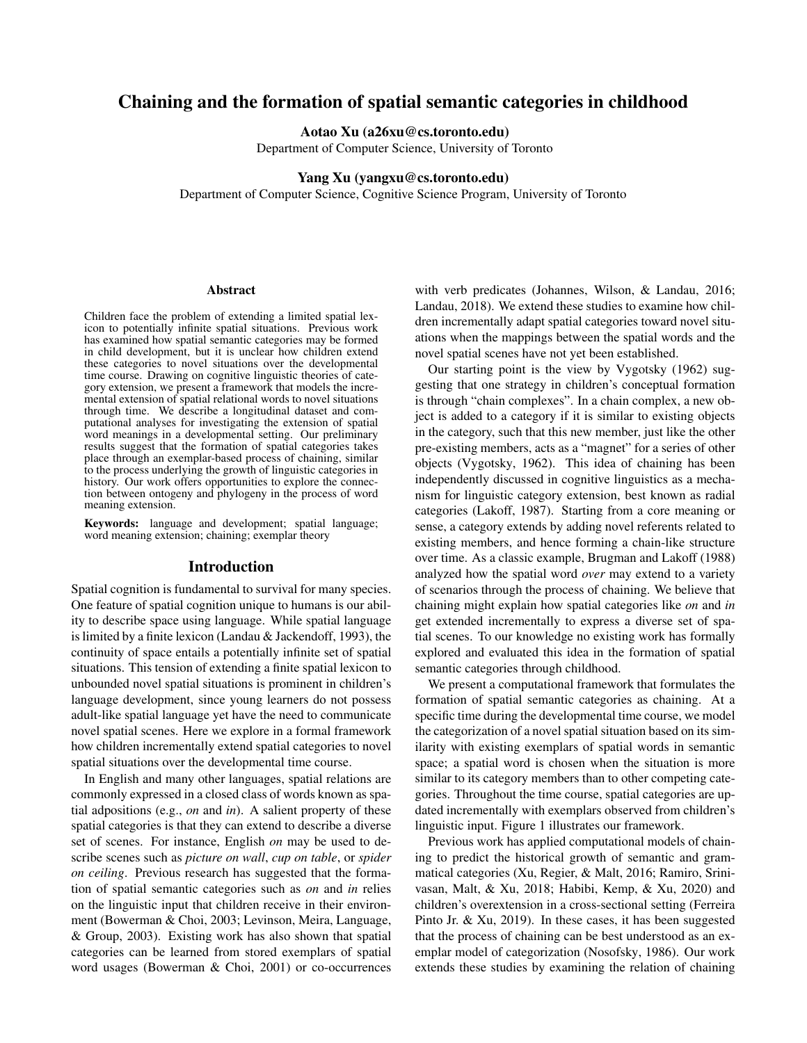# Chaining and the formation of spatial semantic categories in childhood

Aotao Xu (a26xu@cs.toronto.edu)

Department of Computer Science, University of Toronto

#### Yang Xu (yangxu@cs.toronto.edu)

Department of Computer Science, Cognitive Science Program, University of Toronto

#### Abstract

Children face the problem of extending a limited spatial lexicon to potentially infinite spatial situations. Previous work has examined how spatial semantic categories may be formed in child development, but it is unclear how children extend these categories to novel situations over the developmental time course. Drawing on cognitive linguistic theories of category extension, we present a framework that models the incremental extension of spatial relational words to novel situations through time. We describe a longitudinal dataset and computational analyses for investigating the extension of spatial word meanings in a developmental setting. Our preliminary results suggest that the formation of spatial categories takes place through an exemplar-based process of chaining, similar to the process underlying the growth of linguistic categories in history. Our work offers opportunities to explore the connection between ontogeny and phylogeny in the process of word meaning extension.

Keywords: language and development; spatial language; word meaning extension; chaining; exemplar theory

#### Introduction

Spatial cognition is fundamental to survival for many species. One feature of spatial cognition unique to humans is our ability to describe space using language. While spatial language is limited by a finite lexicon (Landau & Jackendoff, 1993), the continuity of space entails a potentially infinite set of spatial situations. This tension of extending a finite spatial lexicon to unbounded novel spatial situations is prominent in children's language development, since young learners do not possess adult-like spatial language yet have the need to communicate novel spatial scenes. Here we explore in a formal framework how children incrementally extend spatial categories to novel spatial situations over the developmental time course.

In English and many other languages, spatial relations are commonly expressed in a closed class of words known as spatial adpositions (e.g., *on* and *in*). A salient property of these spatial categories is that they can extend to describe a diverse set of scenes. For instance, English *on* may be used to describe scenes such as *picture on wall*, *cup on table*, or *spider on ceiling*. Previous research has suggested that the formation of spatial semantic categories such as *on* and *in* relies on the linguistic input that children receive in their environment (Bowerman & Choi, 2003; Levinson, Meira, Language, & Group, 2003). Existing work has also shown that spatial categories can be learned from stored exemplars of spatial word usages (Bowerman & Choi, 2001) or co-occurrences with verb predicates (Johannes, Wilson, & Landau, 2016; Landau, 2018). We extend these studies to examine how children incrementally adapt spatial categories toward novel situations when the mappings between the spatial words and the novel spatial scenes have not yet been established.

Our starting point is the view by Vygotsky (1962) suggesting that one strategy in children's conceptual formation is through "chain complexes". In a chain complex, a new object is added to a category if it is similar to existing objects in the category, such that this new member, just like the other pre-existing members, acts as a "magnet" for a series of other objects (Vygotsky, 1962). This idea of chaining has been independently discussed in cognitive linguistics as a mechanism for linguistic category extension, best known as radial categories (Lakoff, 1987). Starting from a core meaning or sense, a category extends by adding novel referents related to existing members, and hence forming a chain-like structure over time. As a classic example, Brugman and Lakoff (1988) analyzed how the spatial word *over* may extend to a variety of scenarios through the process of chaining. We believe that chaining might explain how spatial categories like *on* and *in* get extended incrementally to express a diverse set of spatial scenes. To our knowledge no existing work has formally explored and evaluated this idea in the formation of spatial semantic categories through childhood.

We present a computational framework that formulates the formation of spatial semantic categories as chaining. At a specific time during the developmental time course, we model the categorization of a novel spatial situation based on its similarity with existing exemplars of spatial words in semantic space; a spatial word is chosen when the situation is more similar to its category members than to other competing categories. Throughout the time course, spatial categories are updated incrementally with exemplars observed from children's linguistic input. Figure 1 illustrates our framework.

Previous work has applied computational models of chaining to predict the historical growth of semantic and grammatical categories (Xu, Regier, & Malt, 2016; Ramiro, Srinivasan, Malt, & Xu, 2018; Habibi, Kemp, & Xu, 2020) and children's overextension in a cross-sectional setting (Ferreira Pinto Jr. & Xu, 2019). In these cases, it has been suggested that the process of chaining can be best understood as an exemplar model of categorization (Nosofsky, 1986). Our work extends these studies by examining the relation of chaining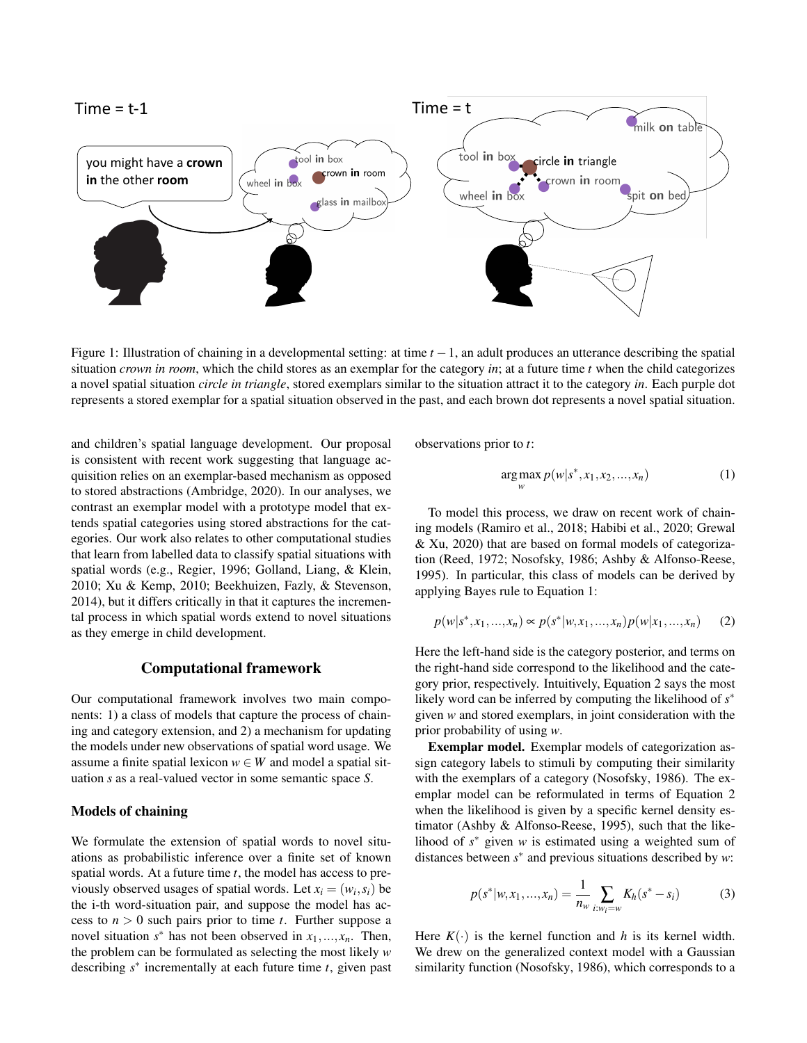

Figure 1: Illustration of chaining in a developmental setting: at time *t* −1, an adult produces an utterance describing the spatial situation *crown in room*, which the child stores as an exemplar for the category *in*; at a future time *t* when the child categorizes a novel spatial situation *circle in triangle*, stored exemplars similar to the situation attract it to the category *in*. Each purple dot represents a stored exemplar for a spatial situation observed in the past, and each brown dot represents a novel spatial situation.

and children's spatial language development. Our proposal is consistent with recent work suggesting that language acquisition relies on an exemplar-based mechanism as opposed to stored abstractions (Ambridge, 2020). In our analyses, we contrast an exemplar model with a prototype model that extends spatial categories using stored abstractions for the categories. Our work also relates to other computational studies that learn from labelled data to classify spatial situations with spatial words (e.g., Regier, 1996; Golland, Liang, & Klein, 2010; Xu & Kemp, 2010; Beekhuizen, Fazly, & Stevenson, 2014), but it differs critically in that it captures the incremental process in which spatial words extend to novel situations as they emerge in child development.

### Computational framework

Our computational framework involves two main components: 1) a class of models that capture the process of chaining and category extension, and 2) a mechanism for updating the models under new observations of spatial word usage. We assume a finite spatial lexicon  $w \in W$  and model a spatial situation *s* as a real-valued vector in some semantic space *S*.

# Models of chaining

We formulate the extension of spatial words to novel situations as probabilistic inference over a finite set of known spatial words. At a future time *t*, the model has access to previously observed usages of spatial words. Let  $x_i = (w_i, s_i)$  be the i-th word-situation pair, and suppose the model has access to  $n > 0$  such pairs prior to time *t*. Further suppose a novel situation  $s^*$  has not been observed in  $x_1, \ldots, x_n$ . Then, the problem can be formulated as selecting the most likely *w* describing *s* ∗ incrementally at each future time *t*, given past observations prior to *t*:

$$
\underset{w}{\arg \max} \, p(w|s^*, x_1, x_2, ..., x_n) \tag{1}
$$

To model this process, we draw on recent work of chaining models (Ramiro et al., 2018; Habibi et al., 2020; Grewal & Xu, 2020) that are based on formal models of categorization (Reed, 1972; Nosofsky, 1986; Ashby & Alfonso-Reese, 1995). In particular, this class of models can be derived by applying Bayes rule to Equation 1:

$$
p(w|s^*, x_1, ..., x_n) \propto p(s^*|w, x_1, ..., x_n)p(w|x_1, ..., x_n)
$$
 (2)

Here the left-hand side is the category posterior, and terms on the right-hand side correspond to the likelihood and the category prior, respectively. Intuitively, Equation 2 says the most likely word can be inferred by computing the likelihood of *s* ∗ given *w* and stored exemplars, in joint consideration with the prior probability of using *w*.

Exemplar model. Exemplar models of categorization assign category labels to stimuli by computing their similarity with the exemplars of a category (Nosofsky, 1986). The exemplar model can be reformulated in terms of Equation 2 when the likelihood is given by a specific kernel density estimator (Ashby & Alfonso-Reese, 1995), such that the likelihood of  $s^*$  given  $w$  is estimated using a weighted sum of distances between *s* ∗ and previous situations described by *w*:

$$
p(s^*|w, x_1, ..., x_n) = \frac{1}{n_w} \sum_{i:w_i = w} K_h(s^* - s_i)
$$
 (3)

Here  $K(\cdot)$  is the kernel function and *h* is its kernel width. We drew on the generalized context model with a Gaussian similarity function (Nosofsky, 1986), which corresponds to a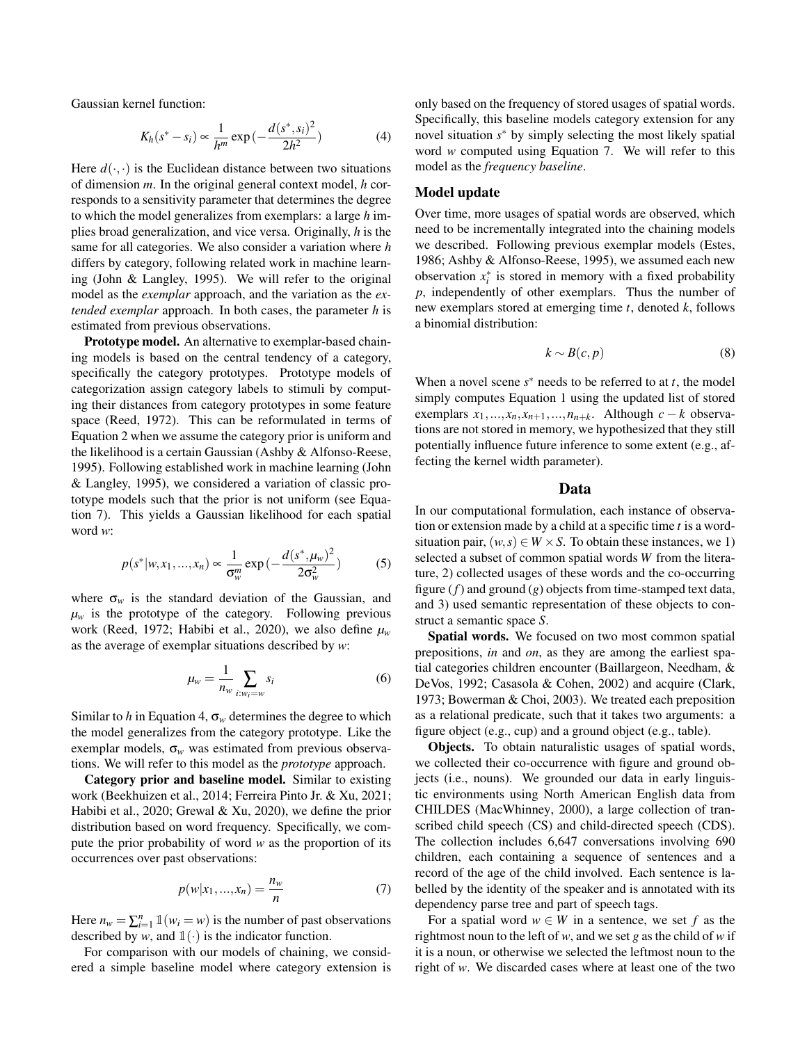Gaussian kernel function:

$$
K_h(s^* - s_i) \propto \frac{1}{h^m} \exp\left(-\frac{d(s^*, s_i)^2}{2h^2}\right) \tag{4}
$$

Here  $d(\cdot, \cdot)$  is the Euclidean distance between two situations of dimension *m*. In the original general context model, *h* corresponds to a sensitivity parameter that determines the degree to which the model generalizes from exemplars: a large *h* implies broad generalization, and vice versa. Originally, *h* is the same for all categories. We also consider a variation where *h* differs by category, following related work in machine learning (John & Langley, 1995). We will refer to the original model as the *exemplar* approach, and the variation as the *extended exemplar* approach. In both cases, the parameter *h* is estimated from previous observations.

Prototype model. An alternative to exemplar-based chaining models is based on the central tendency of a category, specifically the category prototypes. Prototype models of categorization assign category labels to stimuli by computing their distances from category prototypes in some feature space (Reed, 1972). This can be reformulated in terms of Equation 2 when we assume the category prior is uniform and the likelihood is a certain Gaussian (Ashby & Alfonso-Reese, 1995). Following established work in machine learning (John & Langley, 1995), we considered a variation of classic prototype models such that the prior is not uniform (see Equation 7). This yields a Gaussian likelihood for each spatial word *w*:

$$
p(s^*|w, x_1, ..., x_n) \propto \frac{1}{\sigma_w^m} \exp\left(-\frac{d(s^*, \mu_w)^2}{2\sigma_w^2}\right) \tag{5}
$$

where  $\sigma_w$  is the standard deviation of the Gaussian, and  $\mu_w$  is the prototype of the category. Following previous work (Reed, 1972; Habibi et al., 2020), we also define *µ<sup>w</sup>* as the average of exemplar situations described by *w*:

$$
\mu_w = \frac{1}{n_w} \sum_{i:w_i=w} s_i \tag{6}
$$

Similar to *h* in Equation 4,  $\sigma_w$  determines the degree to which the model generalizes from the category prototype. Like the exemplar models,  $\sigma_w$  was estimated from previous observations. We will refer to this model as the *prototype* approach.

Category prior and baseline model. Similar to existing work (Beekhuizen et al., 2014; Ferreira Pinto Jr. & Xu, 2021; Habibi et al., 2020; Grewal & Xu, 2020), we define the prior distribution based on word frequency. Specifically, we compute the prior probability of word *w* as the proportion of its occurrences over past observations:

$$
p(w|x_1,...,x_n) = \frac{n_w}{n}
$$
 (7)

Here  $n_w = \sum_{i=1}^n \mathbb{1}(w_i = w)$  is the number of past observations described by *w*, and  $\mathbb{1}(\cdot)$  is the indicator function.

For comparison with our models of chaining, we considered a simple baseline model where category extension is only based on the frequency of stored usages of spatial words. Specifically, this baseline models category extension for any novel situation *s* <sup>∗</sup> by simply selecting the most likely spatial word *w* computed using Equation 7. We will refer to this model as the *frequency baseline*.

# Model update

Over time, more usages of spatial words are observed, which need to be incrementally integrated into the chaining models we described. Following previous exemplar models (Estes, 1986; Ashby & Alfonso-Reese, 1995), we assumed each new observation  $x_i^*$  is stored in memory with a fixed probability *p*, independently of other exemplars. Thus the number of new exemplars stored at emerging time *t*, denoted *k*, follows a binomial distribution:

$$
k \sim B(c, p) \tag{8}
$$

When a novel scene  $s^*$  needs to be referred to at  $t$ , the model simply computes Equation 1 using the updated list of stored exemplars  $x_1, \ldots, x_n, x_{n+1}, \ldots, n_{n+k}$ . Although  $c - k$  observations are not stored in memory, we hypothesized that they still potentially influence future inference to some extent (e.g., affecting the kernel width parameter).

#### Data

In our computational formulation, each instance of observation or extension made by a child at a specific time *t* is a wordsituation pair,  $(w, s) \in W \times S$ . To obtain these instances, we 1) selected a subset of common spatial words *W* from the literature, 2) collected usages of these words and the co-occurring figure (*f*) and ground (*g*) objects from time-stamped text data, and 3) used semantic representation of these objects to construct a semantic space *S*.

Spatial words. We focused on two most common spatial prepositions, *in* and *on*, as they are among the earliest spatial categories children encounter (Baillargeon, Needham, & DeVos, 1992; Casasola & Cohen, 2002) and acquire (Clark, 1973; Bowerman & Choi, 2003). We treated each preposition as a relational predicate, such that it takes two arguments: a figure object (e.g., cup) and a ground object (e.g., table).

Objects. To obtain naturalistic usages of spatial words, we collected their co-occurrence with figure and ground objects (i.e., nouns). We grounded our data in early linguistic environments using North American English data from CHILDES (MacWhinney, 2000), a large collection of transcribed child speech (CS) and child-directed speech (CDS). The collection includes 6,647 conversations involving 690 children, each containing a sequence of sentences and a record of the age of the child involved. Each sentence is labelled by the identity of the speaker and is annotated with its dependency parse tree and part of speech tags.

For a spatial word  $w \in W$  in a sentence, we set f as the rightmost noun to the left of *w*, and we set *g* as the child of *w* if it is a noun, or otherwise we selected the leftmost noun to the right of *w*. We discarded cases where at least one of the two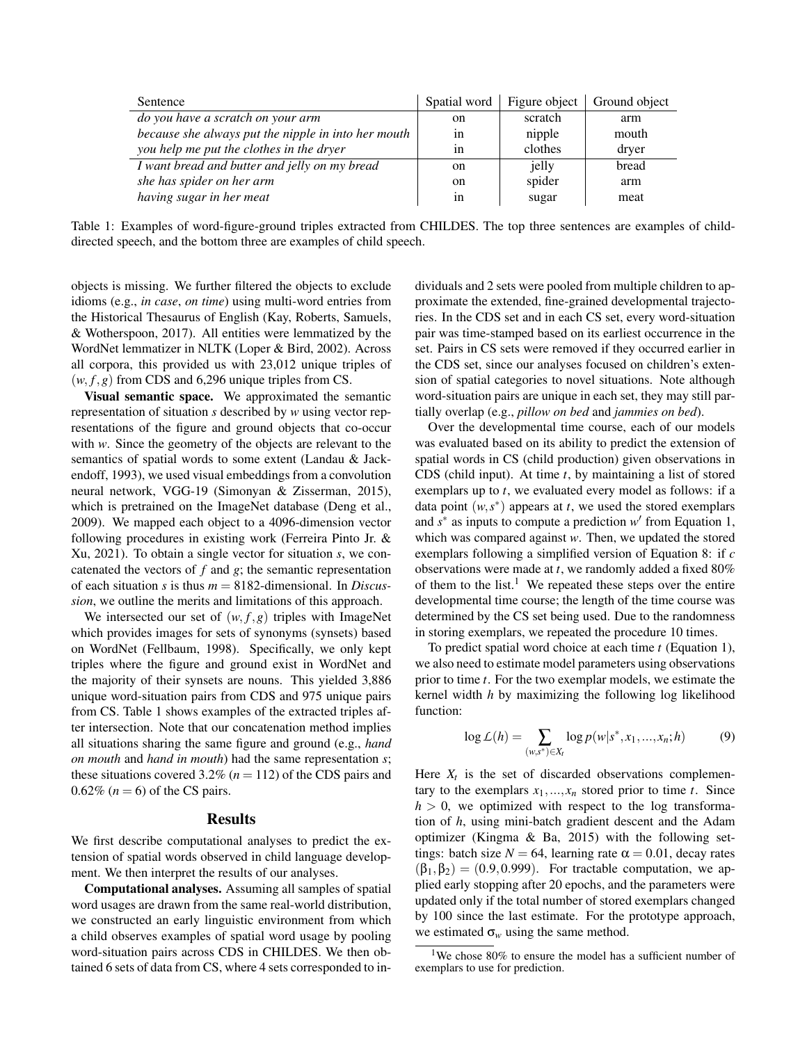| Sentence                                            | Spatial word  |         | Figure object   Ground object |
|-----------------------------------------------------|---------------|---------|-------------------------------|
| do you have a scratch on your arm                   | on            | scratch | arm                           |
| because she always put the nipple in into her mouth | 1n            | nipple  | mouth                         |
| you help me put the clothes in the dryer            | 1n            | clothes | dryer                         |
| I want bread and butter and jelly on my bread       | on            | jelly   | bread                         |
| she has spider on her arm                           | <sub>on</sub> | spider  | arm                           |
| having sugar in her meat                            | 1n            | sugar   | meat                          |

Table 1: Examples of word-figure-ground triples extracted from CHILDES. The top three sentences are examples of childdirected speech, and the bottom three are examples of child speech.

objects is missing. We further filtered the objects to exclude idioms (e.g., *in case*, *on time*) using multi-word entries from the Historical Thesaurus of English (Kay, Roberts, Samuels, & Wotherspoon, 2017). All entities were lemmatized by the WordNet lemmatizer in NLTK (Loper & Bird, 2002). Across all corpora, this provided us with 23,012 unique triples of  $(w, f, g)$  from CDS and 6,296 unique triples from CS.

Visual semantic space. We approximated the semantic representation of situation *s* described by *w* using vector representations of the figure and ground objects that co-occur with *w*. Since the geometry of the objects are relevant to the semantics of spatial words to some extent (Landau & Jackendoff, 1993), we used visual embeddings from a convolution neural network, VGG-19 (Simonyan & Zisserman, 2015), which is pretrained on the ImageNet database (Deng et al., 2009). We mapped each object to a 4096-dimension vector following procedures in existing work (Ferreira Pinto Jr. & Xu, 2021). To obtain a single vector for situation *s*, we concatenated the vectors of *f* and *g*; the semantic representation of each situation *s* is thus *m* = 8182-dimensional. In *Discussion*, we outline the merits and limitations of this approach.

We intersected our set of  $(w, f, g)$  triples with ImageNet which provides images for sets of synonyms (synsets) based on WordNet (Fellbaum, 1998). Specifically, we only kept triples where the figure and ground exist in WordNet and the majority of their synsets are nouns. This yielded 3,886 unique word-situation pairs from CDS and 975 unique pairs from CS. Table 1 shows examples of the extracted triples after intersection. Note that our concatenation method implies all situations sharing the same figure and ground (e.g., *hand on mouth* and *hand in mouth*) had the same representation *s*; these situations covered 3.2% ( $n = 112$ ) of the CDS pairs and  $0.62\%$  ( $n = 6$ ) of the CS pairs.

### Results

We first describe computational analyses to predict the extension of spatial words observed in child language development. We then interpret the results of our analyses.

Computational analyses. Assuming all samples of spatial word usages are drawn from the same real-world distribution, we constructed an early linguistic environment from which a child observes examples of spatial word usage by pooling word-situation pairs across CDS in CHILDES. We then obtained 6 sets of data from CS, where 4 sets corresponded to individuals and 2 sets were pooled from multiple children to approximate the extended, fine-grained developmental trajectories. In the CDS set and in each CS set, every word-situation pair was time-stamped based on its earliest occurrence in the set. Pairs in CS sets were removed if they occurred earlier in the CDS set, since our analyses focused on children's extension of spatial categories to novel situations. Note although word-situation pairs are unique in each set, they may still partially overlap (e.g., *pillow on bed* and *jammies on bed*).

Over the developmental time course, each of our models was evaluated based on its ability to predict the extension of spatial words in CS (child production) given observations in CDS (child input). At time *t*, by maintaining a list of stored exemplars up to *t*, we evaluated every model as follows: if a data point  $(w, s^*)$  appears at *t*, we used the stored exemplars and  $s^*$  as inputs to compute a prediction  $w'$  from Equation 1, which was compared against *w*. Then, we updated the stored exemplars following a simplified version of Equation 8: if *c* observations were made at *t*, we randomly added a fixed 80% of them to the list.<sup>1</sup> We repeated these steps over the entire developmental time course; the length of the time course was determined by the CS set being used. Due to the randomness in storing exemplars, we repeated the procedure 10 times.

To predict spatial word choice at each time *t* (Equation 1), we also need to estimate model parameters using observations prior to time *t*. For the two exemplar models, we estimate the kernel width *h* by maximizing the following log likelihood function:

$$
\log L(h) = \sum_{(w,s^*) \in X_t} \log p(w|s^*, x_1,...,x_n; h)
$$
 (9)

Here  $X_t$  is the set of discarded observations complementary to the exemplars  $x_1, \ldots, x_n$  stored prior to time *t*. Since  $h > 0$ , we optimized with respect to the log transformation of *h*, using mini-batch gradient descent and the Adam optimizer (Kingma & Ba, 2015) with the following settings: batch size  $N = 64$ , learning rate  $\alpha = 0.01$ , decay rates  $(\beta_1, \beta_2) = (0.9, 0.999)$ . For tractable computation, we applied early stopping after 20 epochs, and the parameters were updated only if the total number of stored exemplars changed by 100 since the last estimate. For the prototype approach, we estimated  $\sigma_w$  using the same method.

<sup>&</sup>lt;sup>1</sup>We chose 80% to ensure the model has a sufficient number of exemplars to use for prediction.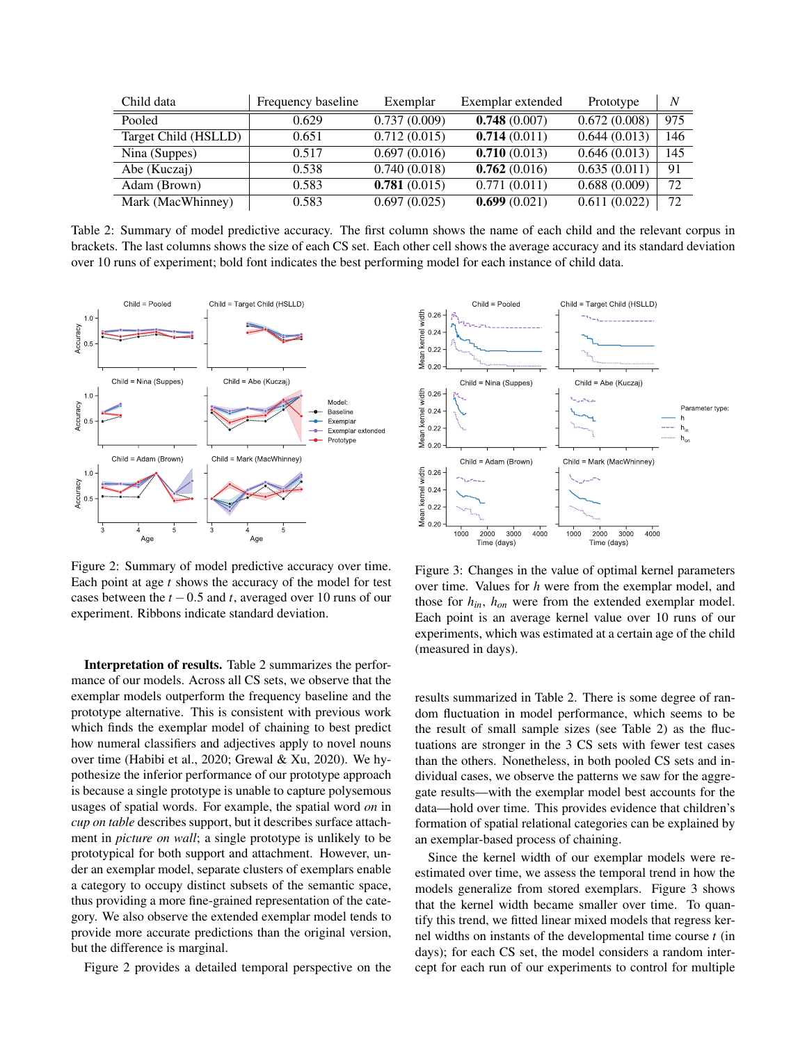| Child data           | Frequency baseline | Exemplar     | Exemplar extended | Prototype    | N   |
|----------------------|--------------------|--------------|-------------------|--------------|-----|
| Pooled               | 0.629              | 0.737(0.009) | 0.748(0.007)      | 0.672(0.008) | 975 |
| Target Child (HSLLD) | 0.651              | 0.712(0.015) | 0.714(0.011)      | 0.644(0.013) | 146 |
| Nina (Suppes)        | 0.517              | 0.697(0.016) | 0.710(0.013)      | 0.646(0.013) | 145 |
| Abe (Kuczaj)         | 0.538              | 0.740(0.018) | 0.762(0.016)      | 0.635(0.011) | 91  |
| Adam (Brown)         | 0.583              | 0.781(0.015) | 0.771(0.011)      | 0.688(0.009) | 72  |
| Mark (MacWhinney)    | 0.583              | 0.697(0.025) | 0.699(0.021)      | 0.611(0.022) | 72  |

Table 2: Summary of model predictive accuracy. The first column shows the name of each child and the relevant corpus in brackets. The last columns shows the size of each CS set. Each other cell shows the average accuracy and its standard deviation over 10 runs of experiment; bold font indicates the best performing model for each instance of child data.



Figure 2: Summary of model predictive accuracy over time. Each point at age *t* shows the accuracy of the model for test cases between the  $t - 0.5$  and  $t$ , averaged over 10 runs of our experiment. Ribbons indicate standard deviation.

Interpretation of results. Table 2 summarizes the performance of our models. Across all CS sets, we observe that the exemplar models outperform the frequency baseline and the prototype alternative. This is consistent with previous work which finds the exemplar model of chaining to best predict how numeral classifiers and adjectives apply to novel nouns over time (Habibi et al., 2020; Grewal & Xu, 2020). We hypothesize the inferior performance of our prototype approach is because a single prototype is unable to capture polysemous usages of spatial words. For example, the spatial word *on* in *cup on table* describes support, but it describes surface attachment in *picture on wall*; a single prototype is unlikely to be prototypical for both support and attachment. However, under an exemplar model, separate clusters of exemplars enable a category to occupy distinct subsets of the semantic space, thus providing a more fine-grained representation of the category. We also observe the extended exemplar model tends to provide more accurate predictions than the original version, but the difference is marginal.

Figure 2 provides a detailed temporal perspective on the



Figure 3: Changes in the value of optimal kernel parameters over time. Values for *h* were from the exemplar model, and those for *hin*, *hon* were from the extended exemplar model. Each point is an average kernel value over 10 runs of our experiments, which was estimated at a certain age of the child (measured in days).

results summarized in Table 2. There is some degree of random fluctuation in model performance, which seems to be the result of small sample sizes (see Table 2) as the fluctuations are stronger in the 3 CS sets with fewer test cases than the others. Nonetheless, in both pooled CS sets and individual cases, we observe the patterns we saw for the aggregate results—with the exemplar model best accounts for the data—hold over time. This provides evidence that children's formation of spatial relational categories can be explained by an exemplar-based process of chaining.

Since the kernel width of our exemplar models were reestimated over time, we assess the temporal trend in how the models generalize from stored exemplars. Figure 3 shows that the kernel width became smaller over time. To quantify this trend, we fitted linear mixed models that regress kernel widths on instants of the developmental time course *t* (in days); for each CS set, the model considers a random intercept for each run of our experiments to control for multiple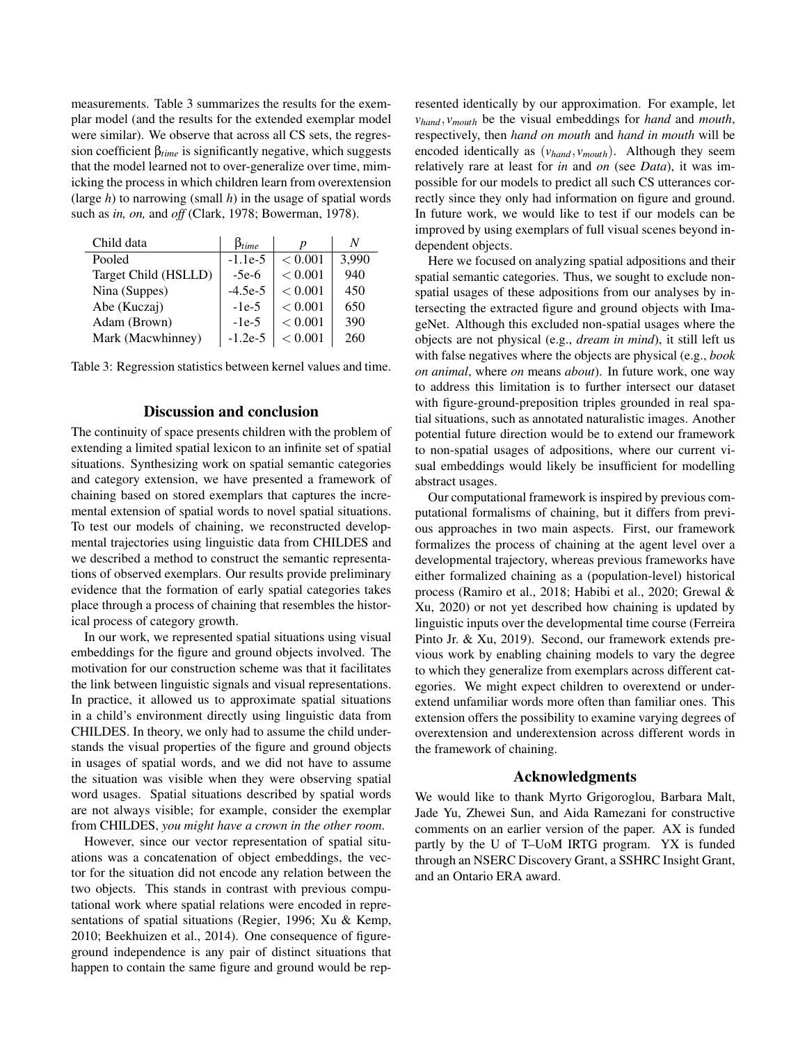measurements. Table 3 summarizes the results for the exemplar model (and the results for the extended exemplar model were similar). We observe that across all CS sets, the regression coefficient β*time* is significantly negative, which suggests that the model learned not to over-generalize over time, mimicking the process in which children learn from overextension (large *h*) to narrowing (small *h*) in the usage of spatial words such as *in, on,* and *off* (Clark, 1978; Bowerman, 1978).

| Child data           | $\beta_{time}$ |         | N     |
|----------------------|----------------|---------|-------|
| Pooled               | $-1.1e-5$      | < 0.001 | 3,990 |
| Target Child (HSLLD) | $-5e-6$        | < 0.001 | 940   |
| Nina (Suppes)        | $-4.5e-5$      | < 0.001 | 450   |
| Abe (Kuczaj)         | $-1e-5$        | < 0.001 | 650   |
| Adam (Brown)         | $-1e-5$        | < 0.001 | 390   |
| Mark (Macwhinney)    | $-1.2e-5$      | < 0.001 | 260   |

|  | Table 3: Regression statistics between kernel values and time. |  |  |  |
|--|----------------------------------------------------------------|--|--|--|
|  |                                                                |  |  |  |

# Discussion and conclusion

The continuity of space presents children with the problem of extending a limited spatial lexicon to an infinite set of spatial situations. Synthesizing work on spatial semantic categories and category extension, we have presented a framework of chaining based on stored exemplars that captures the incremental extension of spatial words to novel spatial situations. To test our models of chaining, we reconstructed developmental trajectories using linguistic data from CHILDES and we described a method to construct the semantic representations of observed exemplars. Our results provide preliminary evidence that the formation of early spatial categories takes place through a process of chaining that resembles the historical process of category growth.

In our work, we represented spatial situations using visual embeddings for the figure and ground objects involved. The motivation for our construction scheme was that it facilitates the link between linguistic signals and visual representations. In practice, it allowed us to approximate spatial situations in a child's environment directly using linguistic data from CHILDES. In theory, we only had to assume the child understands the visual properties of the figure and ground objects in usages of spatial words, and we did not have to assume the situation was visible when they were observing spatial word usages. Spatial situations described by spatial words are not always visible; for example, consider the exemplar from CHILDES, *you might have a crown in the other room*.

However, since our vector representation of spatial situations was a concatenation of object embeddings, the vector for the situation did not encode any relation between the two objects. This stands in contrast with previous computational work where spatial relations were encoded in representations of spatial situations (Regier, 1996; Xu & Kemp, 2010; Beekhuizen et al., 2014). One consequence of figureground independence is any pair of distinct situations that happen to contain the same figure and ground would be represented identically by our approximation. For example, let *vhand*, *vmouth* be the visual embeddings for *hand* and *mouth*, respectively, then *hand on mouth* and *hand in mouth* will be encoded identically as (*vhand*, *vmouth*). Although they seem relatively rare at least for *in* and *on* (see *Data*), it was impossible for our models to predict all such CS utterances correctly since they only had information on figure and ground. In future work, we would like to test if our models can be improved by using exemplars of full visual scenes beyond independent objects.

Here we focused on analyzing spatial adpositions and their spatial semantic categories. Thus, we sought to exclude nonspatial usages of these adpositions from our analyses by intersecting the extracted figure and ground objects with ImageNet. Although this excluded non-spatial usages where the objects are not physical (e.g., *dream in mind*), it still left us with false negatives where the objects are physical (e.g., *book on animal*, where *on* means *about*). In future work, one way to address this limitation is to further intersect our dataset with figure-ground-preposition triples grounded in real spatial situations, such as annotated naturalistic images. Another potential future direction would be to extend our framework to non-spatial usages of adpositions, where our current visual embeddings would likely be insufficient for modelling abstract usages.

Our computational framework is inspired by previous computational formalisms of chaining, but it differs from previous approaches in two main aspects. First, our framework formalizes the process of chaining at the agent level over a developmental trajectory, whereas previous frameworks have either formalized chaining as a (population-level) historical process (Ramiro et al., 2018; Habibi et al., 2020; Grewal & Xu, 2020) or not yet described how chaining is updated by linguistic inputs over the developmental time course (Ferreira Pinto Jr. & Xu, 2019). Second, our framework extends previous work by enabling chaining models to vary the degree to which they generalize from exemplars across different categories. We might expect children to overextend or underextend unfamiliar words more often than familiar ones. This extension offers the possibility to examine varying degrees of overextension and underextension across different words in the framework of chaining.

#### Acknowledgments

We would like to thank Myrto Grigoroglou, Barbara Malt, Jade Yu, Zhewei Sun, and Aida Ramezani for constructive comments on an earlier version of the paper. AX is funded partly by the U of T–UoM IRTG program. YX is funded through an NSERC Discovery Grant, a SSHRC Insight Grant, and an Ontario ERA award.